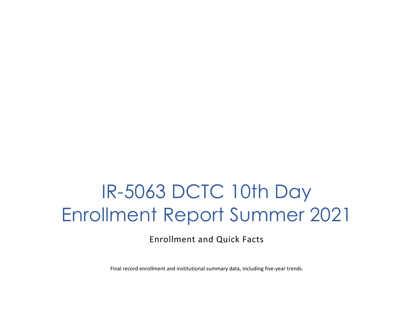# IR-5063 DCTC 10th Day Enrollment Report Summer 2021

Enrollment and Quick Facts

Final record enrollment and institutional summary data, including five-year trends.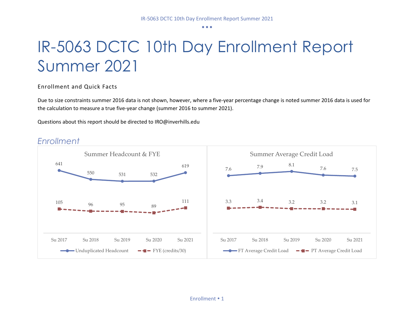## IR-5063 DCTC 10th Day Enrollment Report Summer 2021

Enrollment and Quick Facts

Due to size constraints summer 2016 data is not shown, however, where a five-year percentage change is noted summer 2016 data is used for the calculation to measure a true five-year change (summer 2016 to summer 2021).

Questions about this report should be directed to IRO@inverhills.edu



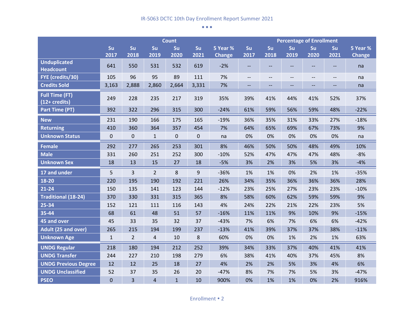|                                                         |              |                |                | <b>Count</b> |           |               | <b>Percentage of Enrollment</b> |      |                          |                          |                          |               |
|---------------------------------------------------------|--------------|----------------|----------------|--------------|-----------|---------------|---------------------------------|------|--------------------------|--------------------------|--------------------------|---------------|
|                                                         | Su           | Su             | Su             | Su           | Su        | 5 Year %      | Su                              | Su   | Su                       | Su                       | Su                       | 5 Year %      |
|                                                         | 2017         | 2018           | 2019           | 2020         | 2021      | <b>Change</b> | 2017                            | 2018 | 2019                     | 2020                     | 2021                     | <b>Change</b> |
| <b>Unduplicated</b><br><b>Headcount</b>                 | 641          | 550            | 531            | 532          | 619       | $-2%$         | $-$                             | $-$  | --                       | $\overline{a}$           | $\overline{\phantom{a}}$ | na            |
| FYE (credits/30)                                        | 105          | 96             | 95             | 89           | 111       | 7%            | $\qquad \qquad -$               | $-$  | $\qquad \qquad -$        | $\overline{\phantom{a}}$ | $\qquad \qquad -$        | na            |
| <b>Credits Sold</b>                                     | 3,163        | 2,888          | 2,860          | 2,664        | 3,331     | 7%            | $\overline{\phantom{a}}$        | --   | $\overline{\phantom{a}}$ | --                       | --                       | na            |
| <b>Full Time (FT)</b><br>$\sqrt{(12 + \text{credits})}$ | 249          | 228            | 235            | 217          | 319       | 35%           | 39%                             | 41%  | 44%                      | 41%                      | 52%                      | 37%           |
| <b>Part Time (PT)</b>                                   | 392          | 322            | 296            | 315          | 300       | $-24%$        | 61%                             | 59%  | 56%                      | 59%                      | 48%                      | $-22%$        |
| <b>New</b>                                              | 231          | 190            | 166            | 175          | 165       | $-19%$        | 36%                             | 35%  | 31%                      | 33%                      | 27%                      | $-18%$        |
| <b>Returning</b>                                        | 410          | 360            | 364            | 357          | 454       | 7%            | 64%                             | 65%  | 69%                      | 67%                      | 73%                      | 9%            |
| <b>Unknown Status</b>                                   | $\pmb{0}$    | 0              | $\mathbf{1}$   | $\pmb{0}$    | $\pmb{0}$ | na            | 0%                              | 0%   | 0%                       | 0%                       | 0%                       | na            |
| <b>Female</b>                                           | 292          | 277            | 265            | 253          | 301       | 8%            | 46%                             | 50%  | 50%                      | 48%                      | 49%                      | 10%           |
| <b>Male</b>                                             | 331          | 260            | 251            | 252          | 300       | $-10%$        | 52%                             | 47%  | 47%                      | 47%                      | 48%                      | $-8%$         |
| <b>Unknown Sex</b>                                      | 18           | 13             | 15             | 27           | 18        | $-5%$         | 3%                              | 2%   | 3%                       | 5%                       | 3%                       | $-4%$         |
| 17 and under                                            | 5            | $\overline{3}$ | $\overline{2}$ | 8            | 9         | $-36%$        | 1%                              | 1%   | 0%                       | 2%                       | 1%                       | $-35%$        |
| 18-20                                                   | 220          | 195            | 190            | 192          | 221       | 26%           | 34%                             | 35%  | 36%                      | 36%                      | 36%                      | 28%           |
| $21 - 24$                                               | 150          | 135            | 141            | 123          | 144       | $-12%$        | 23%                             | 25%  | 27%                      | 23%                      | 23%                      | $-10%$        |
| <b>Traditional (18-24)</b>                              | 370          | 330            | 331            | 315          | 365       | 8%            | 58%                             | 60%  | 62%                      | 59%                      | 59%                      | 9%            |
| 25-34                                                   | 152          | 121            | 111            | 116          | 143       | 4%            | 24%                             | 22%  | 21%                      | 22%                      | 23%                      | 5%            |
| 35-44                                                   | 68           | 61             | 48             | 51           | 57        | $-16%$        | 11%                             | 11%  | 9%                       | 10%                      | 9%                       | $-15%$        |
| 45 and over                                             | 45           | 33             | 35             | 32           | 37        | $-43%$        | 7%                              | 6%   | 7%                       | 6%                       | 6%                       | $-42%$        |
| <b>Adult (25 and over)</b>                              | 265          | 215            | 194            | 199          | 237       | $-13%$        | 41%                             | 39%  | 37%                      | 37%                      | 38%                      | $-11%$        |
| <b>Unknown Age</b>                                      | $\mathbf{1}$ | $\overline{2}$ | 4              | 10           | 8         | 60%           | 0%                              | 0%   | 1%                       | 2%                       | 1%                       | 63%           |
| <b>UNDG Regular</b>                                     | 218          | 180            | 194            | 212          | 252       | 39%           | 34%                             | 33%  | 37%                      | 40%                      | 41%                      | 41%           |
| <b>UNDG Transfer</b>                                    | 244          | 227            | 210            | 198          | 279       | 6%            | 38%                             | 41%  | 40%                      | 37%                      | 45%                      | 8%            |
| <b>UNDG Previous Degree</b>                             | 12           | 12             | 25             | 18           | 27        | 4%            | 2%                              | 2%   | 5%                       | 3%                       | 4%                       | 6%            |
| <b>UNDG Unclassified</b>                                | 52           | 37             | 35             | 26           | 20        | $-47%$        | 8%                              | 7%   | 7%                       | 5%                       | 3%                       | $-47%$        |
| <b>PSEO</b>                                             | $\mathbf 0$  | $\overline{3}$ | $\overline{a}$ | $\mathbf{1}$ | 10        | 900%          | 0%                              | 1%   | 1%                       | 0%                       | 2%                       | 916%          |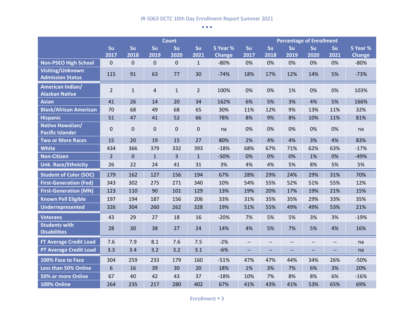|                                                    |                |                |              | <b>Count</b>   |                |               | <b>Percentage of Enrollment</b> |                          |                          |                          |                          |               |
|----------------------------------------------------|----------------|----------------|--------------|----------------|----------------|---------------|---------------------------------|--------------------------|--------------------------|--------------------------|--------------------------|---------------|
|                                                    | Su             | Su             | Su           | Su             | Su             | 5 Year %      | Su                              | Su                       | Su                       | Su                       | Su                       | 5 Year %      |
|                                                    | 2017           | 2018           | 2019         | 2020           | 2021           | <b>Change</b> | 2017                            | 2018                     | 2019                     | 2020                     | 2021                     | <b>Change</b> |
| <b>Non-PSEO High School</b>                        | $\pmb{0}$      | $\pmb{0}$      | $\pmb{0}$    | $\mathbf 0$    | $\mathbf{1}$   | $-80%$        | 0%                              | 0%                       | 0%                       | 0%                       | 0%                       | $-80%$        |
| <b>Visiting/Unknown</b><br><b>Admission Status</b> | 115            | 91             | 63           | 77             | 30             | $-74%$        | 18%                             | 17%                      | 12%                      | 14%                      | 5%                       | $-73%$        |
| American Indian/<br><b>Alaskan Native</b>          | $\overline{2}$ | $\mathbf{1}$   | $\sqrt{4}$   | $\mathbf{1}$   | $\overline{2}$ | 100%          | 0%                              | 0%                       | 1%                       | 0%                       | 0%                       | 103%          |
| <b>Asian</b>                                       | 41             | 26             | 14           | 20             | 34             | 162%          | 6%                              | 5%                       | 3%                       | 4%                       | 5%                       | 166%          |
| <b>Black/African American</b>                      | 70             | 68             | 49           | 68             | 65             | 30%           | 11%                             | 12%                      | 9%                       | 13%                      | 11%                      | 32%           |
| <b>Hispanic</b>                                    | 51             | 47             | 41           | 52             | 66             | 78%           | 8%                              | 9%                       | 8%                       | 10%                      | 11%                      | 81%           |
| Native Hawaiian/<br><b>Pacific Islander</b>        | 0              | $\mathbf 0$    | $\pmb{0}$    | $\mathbf 0$    | 0              | na            | 0%                              | 0%                       | 0%                       | 0%                       | 0%                       | na            |
| <b>Two or More Races</b>                           | 15             | 20             | 19           | 15             | 27             | 80%           | 2%                              | 4%                       | 4%                       | 3%                       | 4%                       | 83%           |
| <b>White</b>                                       | 434            | 366            | 379          | 332            | 393            | $-18%$        | 68%                             | 67%                      | 71%                      | 62%                      | 63%                      | $-17%$        |
| <b>Non-Citizen</b>                                 | $\overline{2}$ | $\overline{0}$ | $\mathbf{1}$ | $\overline{3}$ | $\mathbf{1}$   | $-50%$        | 0%                              | 0%                       | 0%                       | 1%                       | 0%                       | $-49%$        |
| <b>Unk. Race/Ethnicity</b>                         | 26             | 22             | 24           | 41             | 31             | 3%            | 4%                              | 4%                       | 5%                       | 8%                       | 5%                       | 5%            |
| <b>Student of Color (SOC)</b>                      | 179            | 162            | 127          | 156            | 194            | 67%           | 28%                             | 29%                      | 24%                      | 29%                      | 31%                      | 70%           |
| <b>First-Generation (Fed)</b>                      | 343            | 302            | 275          | 271            | 340            | 10%           | 54%                             | 55%                      | 52%                      | 51%                      | 55%                      | 12%           |
| <b>First-Generation (MN)</b>                       | 123            | 110            | 90           | 101            | 129            | 13%           | 19%                             | 20%                      | 17%                      | 19%                      | 21%                      | 15%           |
| <b>Known Pell Eligible</b>                         | 197            | 194            | 187          | 156            | 206            | 33%           | 31%                             | 35%                      | 35%                      | 29%                      | 33%                      | 35%           |
| <b>Underrepresented</b>                            | 326            | 304            | 260          | 262            | 328            | 19%           | 51%                             | 55%                      | 49%                      | 49%                      | 53%                      | 21%           |
| <b>Veterans</b>                                    | 43             | 29             | 27           | 18             | 16             | $-20%$        | 7%                              | 5%                       | 5%                       | 3%                       | 3%                       | $-19%$        |
| <b>Students with</b><br><b>Disabilities</b>        | 28             | 30             | 38           | 27             | 24             | 14%           | 4%                              | 5%                       | 7%                       | 5%                       | 4%                       | 16%           |
| FT Average Credit Load                             | 7.6            | 7.9            | 8.1          | 7.6            | 7.5            | $-2%$         | $\overline{\phantom{a}}$        | $\overline{\phantom{a}}$ | $\overline{\phantom{a}}$ | $\overline{\phantom{m}}$ | $\overline{\phantom{m}}$ | na            |
| <b>PT Average Credit Load</b>                      | 3.3            | 3.4            | 3.2          | 3.2            | 3.1            | $-6%$         | $\overline{\phantom{a}}$        | $\overline{\phantom{a}}$ | $\overline{\phantom{a}}$ | $\overline{\phantom{a}}$ | $-$                      | na            |
| 100% Face to Face                                  | 304            | 259            | 233          | 179            | 160            | $-51%$        | 47%                             | 47%                      | 44%                      | 34%                      | 26%                      | $-50%$        |
| Less than 50% Online                               | 6              | 16             | 39           | 30             | 20             | 18%           | 1%                              | 3%                       | 7%                       | 6%                       | 3%                       | 20%           |
| 50% or more Online                                 | 67             | 40             | 42           | 43             | 37             | $-18%$        | 10%                             | 7%                       | 8%                       | 8%                       | 6%                       | $-16%$        |
| 100% Online                                        | 264            | 235            | 217          | 280            | 402            | 67%           | 41%                             | 43%                      | 41%                      | 53%                      | 65%                      | 69%           |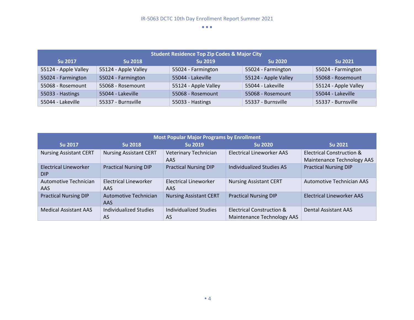| <b>Student Residence Top Zip Codes &amp; Major City</b> |                      |                      |                      |                      |  |  |  |  |  |
|---------------------------------------------------------|----------------------|----------------------|----------------------|----------------------|--|--|--|--|--|
| <b>Su 2017</b>                                          | <b>Su 2018</b>       | <b>Su 2019</b>       | <b>Su 2020</b>       | <b>Su 2021</b>       |  |  |  |  |  |
| 55124 - Apple Valley                                    | 55124 - Apple Valley | 55024 - Farmington   | 55024 - Farmington   | 55024 - Farmington   |  |  |  |  |  |
| 55024 - Farmington                                      | 55024 - Farmington   | 55044 - Lakeville    | 55124 - Apple Valley | 55068 - Rosemount    |  |  |  |  |  |
| 55068 - Rosemount                                       | 55068 - Rosemount    | 55124 - Apple Valley | 55044 - Lakeville    | 55124 - Apple Valley |  |  |  |  |  |
| 55033 - Hastings                                        | 55044 - Lakeville    | 55068 - Rosemount    | 55068 - Rosemount    | 55044 - Lakeville    |  |  |  |  |  |
| 55044 - Lakeville                                       | 55337 - Burnsville   | 55033 - Hastings     | 55337 - Burnsville   | 55337 - Burnsville   |  |  |  |  |  |

| <b>Most Popular Major Programs by Enrollment</b> |                                     |                               |                                                         |                                                         |  |  |  |  |  |  |
|--------------------------------------------------|-------------------------------------|-------------------------------|---------------------------------------------------------|---------------------------------------------------------|--|--|--|--|--|--|
| <b>Su 2017</b>                                   | <b>Su 2018</b>                      | <b>Su 2019</b>                | <b>Su 2020</b>                                          | <b>Su 2021</b>                                          |  |  |  |  |  |  |
| <b>Nursing Assistant CERT</b>                    | <b>Nursing Assistant CERT</b>       | Veterinary Technician<br>AAS. | Electrical Lineworker AAS                               | Electrical Construction &<br>Maintenance Technology AAS |  |  |  |  |  |  |
| <b>Electrical Lineworker</b><br><b>DIP</b>       | <b>Practical Nursing DIP</b>        | <b>Practical Nursing DIP</b>  | Individualized Studies AS                               | <b>Practical Nursing DIP</b>                            |  |  |  |  |  |  |
| <b>Automotive Technician</b><br>AAS              | Electrical Lineworker<br>AAS.       | Electrical Lineworker<br>AAS  | <b>Nursing Assistant CERT</b>                           | Automotive Technician AAS                               |  |  |  |  |  |  |
| <b>Practical Nursing DIP</b>                     | Automotive Technician<br>AAS.       | <b>Nursing Assistant CERT</b> | <b>Practical Nursing DIP</b>                            | Electrical Lineworker AAS                               |  |  |  |  |  |  |
| <b>Medical Assistant AAS</b>                     | Individualized Studies<br><b>AS</b> | Individualized Studies<br>AS  | Electrical Construction &<br>Maintenance Technology AAS | <b>Dental Assistant AAS</b>                             |  |  |  |  |  |  |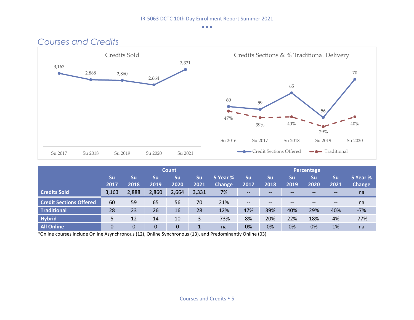

|                                |             |            |            | Count      |            |                           | Percentage        |                   |            |            |                          |                           |
|--------------------------------|-------------|------------|------------|------------|------------|---------------------------|-------------------|-------------------|------------|------------|--------------------------|---------------------------|
|                                | 'Su<br>2017 | Su<br>2018 | Su<br>2019 | Su<br>2020 | Su<br>2021 | 5 Year %<br><b>Change</b> | Su<br>2017        | Su<br>2018        | Su<br>2019 | Su<br>2020 | Su<br>2021               | 5 Year %<br><b>Change</b> |
| <b>Credits Sold</b>            | 3,163       | 2,888      | 2,860      | 2,664      | 3,331      | 7%                        | $- -$             | $- -$             | $- -$      | $- -$      | $- -$                    | na                        |
| <b>Credit Sections Offered</b> | 60          | 59         | 65         | 56         | 70         | 21%                       | $\qquad \qquad -$ | $\qquad \qquad -$ | --         |            | $\hspace{0.05cm} \cdots$ | na                        |
| <b>Traditional</b>             | 28          | 23         | 26         | 16         | 28         | 12%                       | 47%               | 39%               | 40%        | 29%        | 40%                      | $-7%$                     |
| <b>Hybrid</b>                  | 5           | 12         | 14         | 10         | 3          | $-73%$                    | 8%                | 20%               | 22%        | 18%        | 4%                       | $-77%$                    |
| <b>All Online</b>              | 0           | 0          | 0          |            |            | na                        | 0%                | 0%                | 0%         | 0%         | 1%                       | na                        |

\*Online courses include Online Asynchronous (12), Online Synchronous (13), and Predominantly Online (03)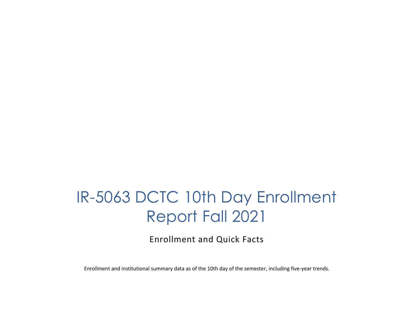### IR-5063 DCTC 10th Day Enrollment Report Fall 2021

Enrollment and Quick Facts

Enrollment and institutional summary data as of the 10th day of the semester, including five-year trends.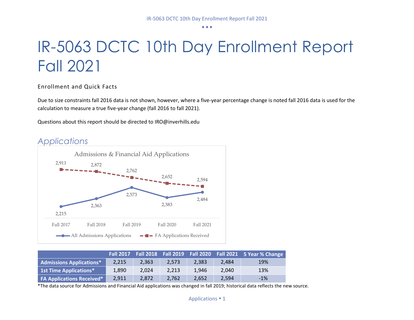## IR-5063 DCTC 10th Day Enrollment Report Fall 2021

Enrollment and Quick Facts

Due to size constraints fall 2016 data is not shown, however, where a five-year percentage change is noted fall 2016 data is used for the calculation to measure a true five-year change (fall 2016 to fall 2021).

Questions about this report should be directed to IRO@inverhills.edu



|                                  |       |       |       |       |       | Fall 2017  Fall 2018  Fall 2019  Fall 2020  Fall 2021  5 Year % Change |
|----------------------------------|-------|-------|-------|-------|-------|------------------------------------------------------------------------|
| <b>Admissions Applications*</b>  | 2.215 | 2.363 | 2.573 | 2.383 | 2.484 | 19%                                                                    |
| <b>1st Time Applications*</b>    | 1.890 | 2.024 | 2.213 | 1.946 | 2.040 | 13%                                                                    |
| <b>FA Applications Received*</b> | 2,911 | 2.872 | 2.762 | 2.652 | 2,594 | $-1%$                                                                  |

\*The data source for Admissions and Financial Aid applications was changed in fall 2019; historical data reflects the new source.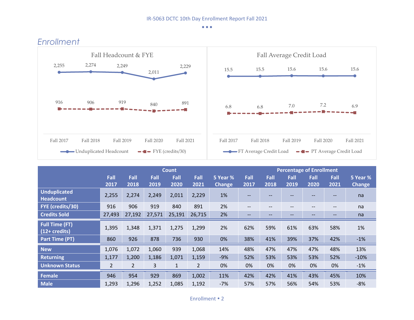

|                                                  |                |                |        | <b>Count</b> |                |               |                   |                   |      | <b>Percentage of Enrollment</b> |                   |               |
|--------------------------------------------------|----------------|----------------|--------|--------------|----------------|---------------|-------------------|-------------------|------|---------------------------------|-------------------|---------------|
|                                                  | Fall           | Fall           | Fall   | Fall         | Fall           | 5 Year %      | Fall              | Fall              | Fall | Fall                            | Fall              | 5 Year %      |
|                                                  | 2017           | 2018           | 2019   | 2020         | 2021           | <b>Change</b> | 2017              | 2018              | 2019 | 2020                            | 2021              | <b>Change</b> |
| <b>Unduplicated</b><br><b>Headcount</b>          | 2,255          | 2,274          | 2,249  | 2,011        | 2,229          | 1%            | --                | --                | --   |                                 | --                | na            |
| FYE (credits/30)                                 | 916            | 906            | 919    | 840          | 891            | 2%            | $\qquad \qquad -$ | $\qquad \qquad -$ | --   | $- -$                           | $\qquad \qquad -$ | na            |
| <b>Credits Sold</b>                              | 27,493         | 27,192         | 27,571 | 25,191       | 26,715         | 2%            | $- -$             | --                | --   | $- -$                           | --                | na            |
| <b>Full Time (FT)</b><br>$(12 + \text{credits})$ | 1,395          | 1,348          | 1,371  | 1,275        | 1,299          | 2%            | 62%               | 59%               | 61%  | 63%                             | 58%               | 1%            |
| Part Time (PT)                                   | 860            | 926            | 878    | 736          | 930            | 0%            | 38%               | 41%               | 39%  | 37%                             | 42%               | $-1%$         |
| <b>New</b>                                       | 1,076          | 1,072          | 1,060  | 939          | 1,068          | 14%           | 48%               | 47%               | 47%  | 47%                             | 48%               | 13%           |
| <b>Returning</b>                                 | 1,177          | 1,200          | 1,186  | 1,071        | 1,159          | $-9%$         | 52%               | 53%               | 53%  | 53%                             | 52%               | $-10%$        |
| <b>Unknown Status</b>                            | $\overline{2}$ | $\overline{2}$ | 3      | $\mathbf{1}$ | $\overline{2}$ | 0%            | 0%                | 0%                | 0%   | 0%                              | 0%                | $-1%$         |
| <b>Female</b>                                    | 946            | 954            | 929    | 869          | 1,002          | 11%           | 42%               | 42%               | 41%  | 43%                             | 45%               | 10%           |
| <b>Male</b>                                      | 1,293          | 1,296          | 1,252  | 1,085        | 1,192          | $-7%$         | 57%               | 57%               | 56%  | 54%                             | 53%               | $-8%$         |

### *Enrollment*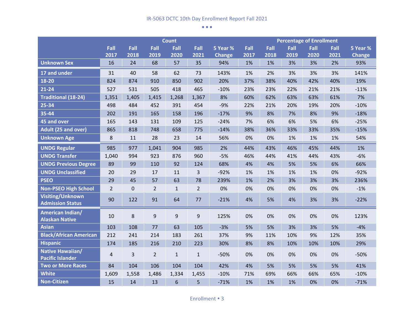|                                                    |                |           |                | <b>Count</b> |                |               | <b>Percentage of Enrollment</b> |      |      |      |      |               |
|----------------------------------------------------|----------------|-----------|----------------|--------------|----------------|---------------|---------------------------------|------|------|------|------|---------------|
|                                                    | Fall           | Fall      | Fall           | Fall         | Fall           | 5 Year %      | Fall                            | Fall | Fall | Fall | Fall | 5 Year %      |
|                                                    | 2017           | 2018      | 2019           | 2020         | 2021           | <b>Change</b> | 2017                            | 2018 | 2019 | 2020 | 2021 | <b>Change</b> |
| <b>Unknown Sex</b>                                 | 16             | 24        | 68             | 57           | 35             | 94%           | 1%                              | 1%   | 3%   | 3%   | 2%   | 93%           |
| 17 and under                                       | 31             | 40        | 58             | 62           | 73             | 143%          | 1%                              | 2%   | 3%   | 3%   | 3%   | 141%          |
| 18-20                                              | 824            | 874       | 910            | 850          | 902            | 20%           | 37%                             | 38%  | 40%  | 42%  | 40%  | 19%           |
| $21 - 24$                                          | 527            | 531       | 505            | 418          | 465            | $-10%$        | 23%                             | 23%  | 22%  | 21%  | 21%  | $-11%$        |
| <b>Traditional (18-24)</b>                         | 1,351          | 1,405     | 1,415          | 1,268        | 1,367          | 8%            | 60%                             | 62%  | 63%  | 63%  | 61%  | 7%            |
| 25-34                                              | 498            | 484       | 452            | 391          | 454            | $-9%$         | 22%                             | 21%  | 20%  | 19%  | 20%  | $-10%$        |
| $35 - 44$                                          | 202            | 191       | 165            | 158          | 196            | $-17%$        | 9%                              | 8%   | 7%   | 8%   | 9%   | $-18%$        |
| 45 and over                                        | 165            | 143       | 131            | 109          | 125            | $-24%$        | 7%                              | 6%   | 6%   | 5%   | 6%   | $-25%$        |
| Adult (25 and over)                                | 865            | 818       | 748            | 658          | 775            | $-14%$        | 38%                             | 36%  | 33%  | 33%  | 35%  | $-15%$        |
| <b>Unknown Age</b>                                 | 8              | 11        | 28             | 23           | 14             | 56%           | 0%                              | 0%   | 1%   | 1%   | 1%   | 54%           |
| <b>UNDG Regular</b>                                | 985            | 977       | 1,041          | 904          | 985            | 2%            | 44%                             | 43%  | 46%  | 45%  | 44%  | 1%            |
| <b>UNDG Transfer</b>                               | 1,040          | 994       | 923            | 876          | 960            | $-5%$         | 46%                             | 44%  | 41%  | 44%  | 43%  | $-6%$         |
| <b>UNDG Previous Degree</b>                        | 89             | 99        | 110            | 92           | 124            | 68%           | 4%                              | 4%   | 5%   | 5%   | 6%   | 66%           |
| <b>UNDG Unclassified</b>                           | 20             | 29        | 17             | 11           | 3              | $-92%$        | 1%                              | 1%   | 1%   | 1%   | 0%   | $-92%$        |
| <b>PSEO</b>                                        | 29             | 45        | 57             | 63           | 78             | 239%          | 1%                              | 2%   | 3%   | 3%   | 3%   | 236%          |
| <b>Non-PSEO High School</b>                        | $\overline{2}$ | $\pmb{0}$ | $\overline{2}$ | $\mathbf{1}$ | $\overline{2}$ | 0%            | 0%                              | 0%   | 0%   | 0%   | 0%   | $-1%$         |
| <b>Visiting/Unknown</b><br><b>Admission Status</b> | 90             | 122       | 91             | 64           | 77             | $-21%$        | 4%                              | 5%   | 4%   | 3%   | 3%   | $-22%$        |
| <b>American Indian/</b><br><b>Alaskan Native</b>   | 10             | 8         | 9              | 9            | 9              | 125%          | 0%                              | 0%   | 0%   | 0%   | 0%   | 123%          |
| <b>Asian</b>                                       | 103            | 108       | 77             | 63           | 105            | $-3%$         | 5%                              | 5%   | 3%   | 3%   | 5%   | $-4%$         |
| <b>Black/African American</b>                      | 212            | 241       | 214            | 183          | 261            | 37%           | 9%                              | 11%  | 10%  | 9%   | 12%  | 35%           |
| <b>Hispanic</b>                                    | 174            | 185       | 216            | 210          | 223            | 30%           | 8%                              | 8%   | 10%  | 10%  | 10%  | 29%           |
| <b>Native Hawaiian/</b><br><b>Pacific Islander</b> | 4              | 3         | $\overline{2}$ | $\mathbf{1}$ | $\mathbf{1}$   | $-50%$        | 0%                              | 0%   | 0%   | 0%   | 0%   | $-50%$        |
| <b>Two or More Races</b>                           | 84             | 104       | 106            | 104          | 104            | 42%           | 4%                              | 5%   | 5%   | 5%   | 5%   | 41%           |
| <b>White</b>                                       | 1,609          | 1,558     | 1,486          | 1,334        | 1,455          | $-10%$        | 71%                             | 69%  | 66%  | 66%  | 65%  | $-10%$        |
| <b>Non-Citizen</b>                                 | 15             | 14        | 13             | 6            | 5              | $-71%$        | 1%                              | 1%   | 1%   | 0%   | 0%   | $-71%$        |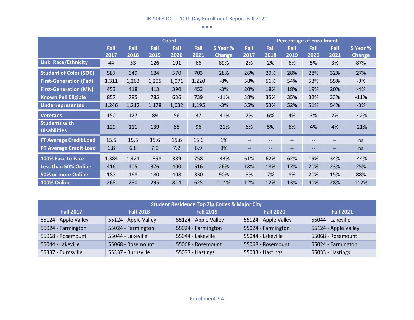|                                             |              | <b>Count</b> |              |              |              |                           |                   | <b>Percentage of Enrollment</b> |              |              |              |                           |
|---------------------------------------------|--------------|--------------|--------------|--------------|--------------|---------------------------|-------------------|---------------------------------|--------------|--------------|--------------|---------------------------|
|                                             | Fall<br>2017 | Fall<br>2018 | Fall<br>2019 | Fall<br>2020 | Fall<br>2021 | 5 Year %<br><b>Change</b> | Fall<br>2017      | Fall<br>2018                    | Fall<br>2019 | Fall<br>2020 | Fall<br>2021 | 5 Year %<br><b>Change</b> |
| <b>Unk. Race/Ethnicity</b>                  | 44           | 53           | 126          | 101          | 66           | 89%                       | 2%                | 2%                              | 6%           | 5%           | 3%           | 87%                       |
| <b>Student of Color (SOC)</b>               | 587          | 649          | 624          | 570          | 703          | 28%                       | 26%               | 29%                             | 28%          | 28%          | 32%          | 27%                       |
| <b>First-Generation (Fed)</b>               | 1,311        | 1,263        | 1,205        | 1,071        | 1,220        | $-8%$                     | 58%               | 56%                             | 54%          | 53%          | 55%          | $-9%$                     |
| <b>First-Generation (MN)</b>                | 453          | 418          | 413          | 390          | 453          | $-3%$                     | 20%               | 18%                             | 18%          | 19%          | 20%          | $-4%$                     |
| <b>Known Pell Eligible</b>                  | 857          | 785          | 785          | 636          | 739          | $-11%$                    | 38%               | 35%                             | 35%          | 32%          | 33%          | $-11%$                    |
| Underrepresented                            | 1,246        | 1,212        | 1,178        | 1,032        | 1,195        | $-3%$                     | 55%               | 53%                             | 52%          | 51%          | 54%          | $-3%$                     |
| <b>Veterans</b>                             | 150          | 127          | 89           | 56           | 37           | $-41%$                    | 7%                | 6%                              | 4%           | 3%           | 2%           | $-42%$                    |
| <b>Students with</b><br><b>Disabilities</b> | 129          | 111          | 139          | 88           | 96           | $-21%$                    | 6%                | 5%                              | 6%           | 4%           | 4%           | $-21%$                    |
| <b>FT Average Credit Load</b>               | 15.5         | 15.5         | 15.6         | 15.6         | 15.6         | 1%                        | $- -$             | --                              |              |              | --           | na                        |
| <b>PT Average Credit Load</b>               | 6.8          | 6.8          | 7.0          | 7.2          | 6.9          | 0%                        | $\qquad \qquad -$ | --                              | --           | --           | --           | na                        |
| 100% Face to Face                           | 1,384        | 1,421        | 1,398        | 389          | 758          | $-43%$                    | 61%               | 62%                             | 62%          | 19%          | 34%          | $-44%$                    |
| <b>Less than 50% Online</b>                 | 416          | 405          | 376          | 400          | 516          | 26%                       | 18%               | 18%                             | 17%          | 20%          | 23%          | 25%                       |
| 50% or more Online                          | 187          | 168          | 180          | 408          | 330          | 90%                       | 8%                | 7%                              | 8%           | 20%          | 15%          | 88%                       |
| 100% Online                                 | 268          | 280          | 295          | 814          | 625          | 114%                      | 12%               | 12%                             | 13%          | 40%          | 28%          | 112%                      |

| <b>Student Residence Top Zip Codes &amp; Major City</b> |                      |                      |                      |                      |  |  |  |  |  |
|---------------------------------------------------------|----------------------|----------------------|----------------------|----------------------|--|--|--|--|--|
| <b>Fall 2017</b>                                        | <b>Fall 2018</b>     | <b>Fall 2019</b>     | <b>Fall 2020</b>     | <b>Fall 2021</b>     |  |  |  |  |  |
| 55124 - Apple Valley                                    | 55124 - Apple Valley | 55124 - Apple Valley | 55124 - Apple Valley | 55044 - Lakeville    |  |  |  |  |  |
| 55024 - Farmington                                      | 55024 - Farmington   | 55024 - Farmington   | 55024 - Farmington   | 55124 - Apple Valley |  |  |  |  |  |
| 55068 - Rosemount                                       | 55044 - Lakeville    | 55044 - Lakeville    | 55044 - Lakeville    | 55068 - Rosemount    |  |  |  |  |  |
| 55044 - Lakeville                                       | 55068 - Rosemount    | 55068 - Rosemount    | 55068 - Rosemount    | 55024 - Farmington   |  |  |  |  |  |
| 55337 - Burnsville                                      | 55337 - Burnsville   | 55033 - Hastings     | 55033 - Hastings     | 55033 - Hastings     |  |  |  |  |  |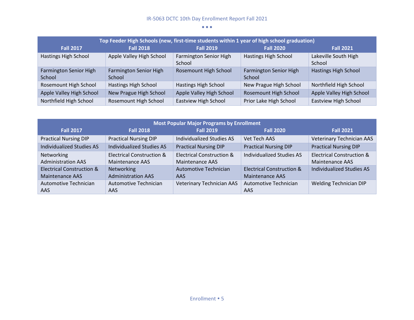| Top Feeder High Schools (new, first-time students within 1 year of high school graduation) |                                  |                                  |                                  |                                |  |  |  |  |  |  |
|--------------------------------------------------------------------------------------------|----------------------------------|----------------------------------|----------------------------------|--------------------------------|--|--|--|--|--|--|
| <b>Fall 2017</b>                                                                           | <b>Fall 2018</b>                 | <b>Fall 2019</b>                 | <b>Fall 2020</b>                 | <b>Fall 2021</b>               |  |  |  |  |  |  |
| Hastings High School                                                                       | Apple Valley High School         | Farmington Senior High<br>School | Hastings High School             | Lakeville South High<br>School |  |  |  |  |  |  |
| Farmington Senior High<br>School                                                           | Farmington Senior High<br>School | Rosemount High School            | Farmington Senior High<br>School | Hastings High School           |  |  |  |  |  |  |
| Rosemount High School                                                                      | Hastings High School             | Hastings High School             | New Prague High School           | Northfield High School         |  |  |  |  |  |  |
| Apple Valley High School                                                                   | New Prague High School           | Apple Valley High School         | <b>Rosemount High School</b>     | Apple Valley High School       |  |  |  |  |  |  |
| Northfield High School                                                                     | Rosemount High School            | Eastview High School             | Prior Lake High School           | <b>Eastview High School</b>    |  |  |  |  |  |  |

| <b>Most Popular Major Programs by Enrollment</b> |                                      |                                      |                                      |                                      |  |  |  |  |  |  |
|--------------------------------------------------|--------------------------------------|--------------------------------------|--------------------------------------|--------------------------------------|--|--|--|--|--|--|
| <b>Fall 2017</b>                                 | <b>Fall 2018</b>                     | <b>Fall 2019</b>                     | <b>Fall 2020</b>                     | <b>Fall 2021</b>                     |  |  |  |  |  |  |
| <b>Practical Nursing DIP</b>                     | <b>Practical Nursing DIP</b>         | <b>Individualized Studies AS</b>     | Vet Tech AAS                         | <b>Veterinary Technician AAS</b>     |  |  |  |  |  |  |
| <b>Individualized Studies AS</b>                 | <b>Individualized Studies AS</b>     | <b>Practical Nursing DIP</b>         | <b>Practical Nursing DIP</b>         | <b>Practical Nursing DIP</b>         |  |  |  |  |  |  |
| Networking                                       | <b>Electrical Construction &amp;</b> | <b>Electrical Construction &amp;</b> | <b>Individualized Studies AS</b>     | <b>Electrical Construction &amp;</b> |  |  |  |  |  |  |
| <b>Administration AAS</b>                        | Maintenance AAS                      | Maintenance AAS                      |                                      | Maintenance AAS                      |  |  |  |  |  |  |
| <b>Electrical Construction &amp;</b>             | Networking                           | <b>Automotive Technician</b>         | <b>Electrical Construction &amp;</b> | <b>Individualized Studies AS</b>     |  |  |  |  |  |  |
| <b>Maintenance AAS</b>                           | <b>Administration AAS</b>            | AAS.                                 | <b>Maintenance AAS</b>               |                                      |  |  |  |  |  |  |
| Automotive Technician                            | Automotive Technician                | <b>Veterinary Technician AAS</b>     | <b>Automotive Technician</b>         | Welding Technician DIP               |  |  |  |  |  |  |
| AAS                                              | <b>AAS</b>                           |                                      | AAS                                  |                                      |  |  |  |  |  |  |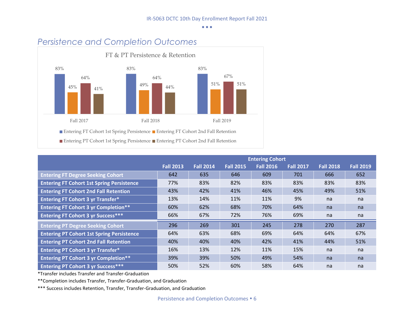

|                                                  |                  |                  |                  | <b>Entering Cohort</b> |                  |                  |                  |
|--------------------------------------------------|------------------|------------------|------------------|------------------------|------------------|------------------|------------------|
|                                                  | <b>Fall 2013</b> | <b>Fall 2014</b> | <b>Fall 2015</b> | <b>Fall 2016</b>       | <b>Fall 2017</b> | <b>Fall 2018</b> | <b>Fall 2019</b> |
| <b>Entering FT Degree Seeking Cohort</b>         | 642              | 635              | 646              | 609                    | 701              | 666              | 652              |
| <b>Entering FT Cohort 1st Spring Persistence</b> | 77%              | 83%              | 82%              | 83%                    | 83%              | 83%              | 83%              |
| <b>Entering FT Cohort 2nd Fall Retention</b>     | 43%              | 42%              | 41%              | 46%                    | 45%              | 49%              | 51%              |
| <b>Entering FT Cohort 3 yr Transfer*</b>         | 13%              | 14%              | 11%              | 11%                    | 9%               | na               | na               |
| <b>Entering FT Cohort 3 yr Completion**</b>      | 60%              | 62%              | 68%              | 70%                    | 64%              | na               | na               |
| <b>Entering FT Cohort 3 yr Success***</b>        | 66%              | 67%              | 72%              | 76%                    | 69%              | na               | na               |
| <b>Entering PT Degree Seeking Cohort</b>         | 296              | 269              | 301              | 245                    | 278              | 270              | 287              |
| <b>Entering PT Cohort 1st Spring Persistence</b> | 64%              | 63%              | 68%              | 69%                    | 64%              | 64%              | 67%              |
| <b>Entering PT Cohort 2nd Fall Retention</b>     | 40%              | 40%              | 40%              | 42%                    | 41%              | 44%              | 51%              |
| <b>Entering PT Cohort 3 yr Transfer*</b>         | 16%              | 13%              | 12%              | 11%                    | 15%              | na               | na               |
| <b>Entering PT Cohort 3 yr Completion**</b>      | 39%              | 39%              | 50%              | 49%                    | 54%              | na               | na               |
| <b>Entering PT Cohort 3 yr Success***</b>        | 50%              | 52%              | 60%              | 58%                    | 64%              | na               | na               |

\*Transfer includes Transfer and Transfer-Graduation

\*\*Completion includes Transfer, Transfer-Graduation, and Graduation

\*\*\* Success includes Retention, Transfer, Transfer-Graduation, and Graduation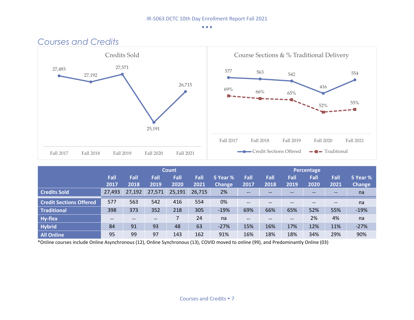

|                                |              | <b>Count</b> |                                       |              |              |                           |                                                                                                                   |                                       | Percentage        |              |                                       |                           |  |  |
|--------------------------------|--------------|--------------|---------------------------------------|--------------|--------------|---------------------------|-------------------------------------------------------------------------------------------------------------------|---------------------------------------|-------------------|--------------|---------------------------------------|---------------------------|--|--|
|                                | Fall<br>2017 | Fall<br>2018 | Fall<br>2019                          | Fall<br>2020 | Fall<br>2021 | 5 Year %<br><b>Change</b> | Fall<br>2017                                                                                                      | Fall<br>2018                          | Fall<br>2019      | Fall<br>2020 | Fall<br>2021                          | 5 Year %<br><b>Change</b> |  |  |
| <b>Credits Sold</b>            | 27,493       | 27,192       | 27,571                                | 25,191       | 26,715       | 2%                        | $\qquad \qquad -$                                                                                                 | $- -$                                 | $- -$             | --           | $- -$                                 | na                        |  |  |
| <b>Credit Sections Offered</b> | 577          | 563          | 542                                   | 416          | 554          | 0%                        | $\qquad \qquad -$                                                                                                 | $\hspace{0.05cm}$ – $\hspace{0.05cm}$ | $\qquad \qquad -$ | $- -$        | $\hspace{0.05cm}$ – $\hspace{0.05cm}$ | na                        |  |  |
| Traditional                    | 398          | 373          | 352                                   | 218          | 305          | $-19%$                    | 69%                                                                                                               | 66%                                   | 65%               | 52%          | 55%                                   | $-19%$                    |  |  |
| <b>Hy-flex</b>                 | --           | --           | $\hspace{0.05cm}$ – $\hspace{0.05cm}$ |              | 24           | na                        | $\hspace{0.05cm} \hspace{0.02cm} \hspace{0.02cm} \hspace{0.02cm} \hspace{0.02cm} \hspace{0.02cm} \hspace{0.02cm}$ | $- -$                                 | $\qquad \qquad -$ | 2%           | 4%                                    | na                        |  |  |
| <b>Hybrid</b>                  | 84           | 91           | 93                                    | 48           | 63           | $-27%$                    | 15%                                                                                                               | 16%                                   | 17%               | 12%          | 11%                                   | $-27%$                    |  |  |
| All Online                     | 95           | 99           | 97                                    | 143          | 162          | 91%                       | 16%                                                                                                               | 18%                                   | 18%               | 34%          | 29%                                   | 90%                       |  |  |

\*Online courses include Online Asynchronous (12), Online Synchronous (13), COVID moved to online (99), and Predominantly Online (03)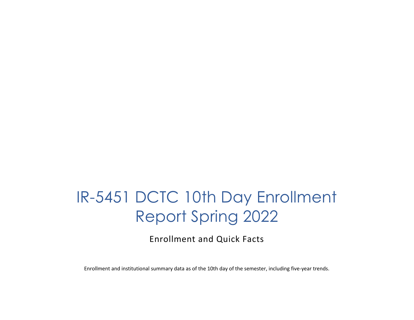## IR-5451 DCTC 10th Day Enrollment Report Spring 2022

Enrollment and Quick Facts

Enrollment and institutional summary data as of the 10th day of the semester, including five-year trends.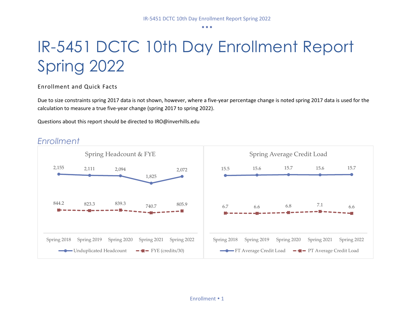## IR-5451 DCTC 10th Day Enrollment Report Spring 2022

Enrollment and Quick Facts

Due to size constraints spring 2017 data is not shown, however, where a five-year percentage change is noted spring 2017 data is used for the calculation to measure a true five-year change (spring 2017 to spring 2022).

Questions about this report should be directed to IRO@inverhills.edu



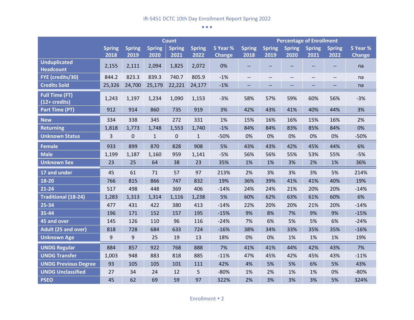|                                                  |                       |                       |                       | <b>Count</b>          |                       |                           | <b>Percentage of Enrollment</b> |                       |                       |                          |                       |                           |
|--------------------------------------------------|-----------------------|-----------------------|-----------------------|-----------------------|-----------------------|---------------------------|---------------------------------|-----------------------|-----------------------|--------------------------|-----------------------|---------------------------|
|                                                  | <b>Spring</b><br>2018 | <b>Spring</b><br>2019 | <b>Spring</b><br>2020 | <b>Spring</b><br>2021 | <b>Spring</b><br>2022 | 5 Year %<br><b>Change</b> | <b>Spring</b><br>2018           | <b>Spring</b><br>2019 | <b>Spring</b><br>2020 | <b>Spring</b><br>2021    | <b>Spring</b><br>2022 | 5 Year %<br><b>Change</b> |
| <b>Unduplicated</b><br><b>Headcount</b>          | 2,155                 | 2,111                 | 2,094                 | 1,825                 | 2,072                 | 0%                        | $\overline{\phantom{a}}$        | --                    |                       |                          | --                    | na                        |
| FYE (credits/30)                                 | 844.2                 | 823.3                 | 839.3                 | 740.7                 | 805.9                 | $-1%$                     | $- -$                           | $\qquad \qquad -$     | $\qquad \qquad -$     | $\overline{\phantom{a}}$ | $\qquad \qquad -$     | na                        |
| <b>Credits Sold</b>                              | 25,326                | 24,700                | 25,179                | 22,221                | 24,177                | $-1%$                     | --                              | --                    |                       |                          | --                    | na                        |
| <b>Full Time (FT)</b><br>$(12 + \text{credits})$ | 1,243                 | 1,197                 | 1,234                 | 1,090                 | 1,153                 | $-3%$                     | 58%                             | 57%                   | 59%                   | 60%                      | 56%                   | $-3%$                     |
| <b>Part Time (PT)</b>                            | 912                   | 914                   | 860                   | 735                   | 919                   | 3%                        | 42%                             | 43%                   | 41%                   | 40%                      | 44%                   | 3%                        |
| <b>New</b>                                       | 334                   | 338                   | 345                   | 272                   | 331                   | 1%                        | 15%                             | 16%                   | 16%                   | 15%                      | 16%                   | 2%                        |
| <b>Returning</b>                                 | 1,818                 | 1,773                 | 1,748                 | 1,553                 | 1,740                 | $-1%$                     | 84%                             | 84%                   | 83%                   | 85%                      | 84%                   | 0%                        |
| <b>Unknown Status</b>                            | 3                     | $\mathbf 0$           | $\mathbf{1}$          | 0                     | $\mathbf{1}$          | $-50%$                    | 0%                              | 0%                    | 0%                    | 0%                       | 0%                    | $-50%$                    |
| <b>Female</b>                                    | 933                   | 899                   | 870                   | 828                   | 908                   | 5%                        | 43%                             | 43%                   | 42%                   | 45%                      | 44%                   | 6%                        |
| <b>Male</b>                                      | 1,199                 | 1,187                 | 1,160                 | 959                   | 1,141                 | $-5%$                     | 56%                             | 56%                   | 55%                   | 53%                      | 55%                   | $-5%$                     |
| <b>Unknown Sex</b>                               | 23                    | 25                    | 64                    | 38                    | 23                    | 35%                       | 1%                              | 1%                    | 3%                    | 2%                       | 1%                    | 36%                       |
| 17 and under                                     | 45                    | 61                    | 71                    | 57                    | 97                    | 213%                      | 2%                              | 3%                    | 3%                    | 3%                       | 5%                    | 214%                      |
| 18-20                                            | 766                   | 815                   | 866                   | 747                   | 832                   | 19%                       | 36%                             | 39%                   | 41%                   | 41%                      | 40%                   | 19%                       |
| $21 - 24$                                        | 517                   | 498                   | 448                   | 369                   | 406                   | $-14%$                    | 24%                             | 24%                   | 21%                   | 20%                      | 20%                   | $-14%$                    |
| <b>Traditional (18-24)</b>                       | 1,283                 | 1,313                 | 1,314                 | 1,116                 | 1,238                 | 5%                        | 60%                             | 62%                   | 63%                   | 61%                      | 60%                   | 6%                        |
| 25-34                                            | 477                   | 431                   | 422                   | 380                   | 413                   | $-14%$                    | 22%                             | 20%                   | 20%                   | 21%                      | 20%                   | $-14%$                    |
| 35-44                                            | 196                   | 171                   | 152                   | 157                   | 195                   | $-15%$                    | 9%                              | 8%                    | 7%                    | 9%                       | 9%                    | $-15%$                    |
| 45 and over                                      | 145                   | 126                   | 110                   | 96                    | 116                   | $-24%$                    | 7%                              | 6%                    | 5%                    | 5%                       | 6%                    | $-24%$                    |
| Adult (25 and over)                              | 818                   | 728                   | 684                   | 633                   | 724                   | $-16%$                    | 38%                             | 34%                   | 33%                   | 35%                      | 35%                   | $-16%$                    |
| <b>Unknown Age</b>                               | 9                     | 9                     | 25                    | 19                    | 13                    | 18%                       | 0%                              | 0%                    | 1%                    | 1%                       | 1%                    | 19%                       |
| <b>UNDG Regular</b>                              | 884                   | 857                   | 922                   | 768                   | 888                   | 7%                        | 41%                             | 41%                   | 44%                   | 42%                      | 43%                   | 7%                        |
| <b>UNDG Transfer</b>                             | 1,003                 | 948                   | 883                   | 818                   | 885                   | $-11%$                    | 47%                             | 45%                   | 42%                   | 45%                      | 43%                   | $-11%$                    |
| <b>UNDG Previous Degree</b>                      | 93                    | 105                   | 105                   | 101                   | 111                   | 42%                       | 4%                              | 5%                    | 5%                    | 6%                       | 5%                    | 43%                       |
| <b>UNDG Unclassified</b>                         | 27                    | 34                    | 24                    | 12                    | 5                     | $-80%$                    | 1%                              | 2%                    | 1%                    | 1%                       | 0%                    | $-80%$                    |
| <b>PSEO</b>                                      | 45                    | 62                    | 69                    | 59                    | 97                    | 322%                      | 2%                              | 3%                    | 3%                    | 3%                       | 5%                    | 324%                      |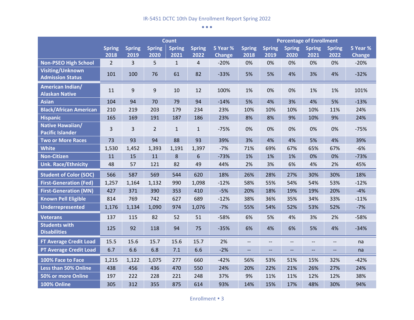|                                                    |                |               |                | <b>Count</b>  |                |               | <b>Percentage of Enrollment</b> |               |               |                   |                          |               |
|----------------------------------------------------|----------------|---------------|----------------|---------------|----------------|---------------|---------------------------------|---------------|---------------|-------------------|--------------------------|---------------|
|                                                    | <b>Spring</b>  | <b>Spring</b> | <b>Spring</b>  | <b>Spring</b> | <b>Spring</b>  | 5 Year %      | <b>Spring</b>                   | <b>Spring</b> | <b>Spring</b> | <b>Spring</b>     | <b>Spring</b>            | 5 Year %      |
|                                                    | 2018           | 2019          | 2020           | 2021          | 2022           | <b>Change</b> | 2018                            | 2019          | 2020          | 2021              | 2022                     | <b>Change</b> |
| <b>Non-PSEO High School</b>                        | $\overline{2}$ | 3             | 5              | $\mathbf{1}$  | $\overline{4}$ | $-20%$        | 0%                              | 0%            | 0%            | 0%                | 0%                       | $-20%$        |
| <b>Visiting/Unknown</b><br><b>Admission Status</b> | 101            | 100           | 76             | 61            | 82             | $-33%$        | 5%                              | 5%            | 4%            | 3%                | 4%                       | $-32%$        |
| <b>American Indian/</b><br><b>Alaskan Native</b>   | 11             | 9             | $9\,$          | 10            | 12             | 100%          | 1%                              | 0%            | 0%            | 1%                | 1%                       | 101%          |
| <b>Asian</b>                                       | 104            | 94            | 70             | 79            | 94             | $-14%$        | 5%                              | 4%            | 3%            | 4%                | 5%                       | $-13%$        |
| <b>Black/African American</b>                      | 210            | 219           | 203            | 179           | 234            | 23%           | 10%                             | 10%           | 10%           | 10%               | 11%                      | 24%           |
| <b>Hispanic</b>                                    | 165            | 169           | 191            | 187           | 186            | 23%           | 8%                              | 8%            | 9%            | 10%               | 9%                       | 24%           |
| Native Hawaiian/<br><b>Pacific Islander</b>        | 3              | 3             | $\overline{2}$ | $\mathbf{1}$  | $\mathbf{1}$   | $-75%$        | 0%                              | 0%            | 0%            | 0%                | 0%                       | $-75%$        |
| <b>Two or More Races</b>                           | 73             | 93            | 94             | 88            | 93             | 39%           | 3%                              | 4%            | 4%            | 5%                | 4%                       | 39%           |
| <b>White</b>                                       | 1,530          | 1,452         | 1,393          | 1,191         | 1,397          | $-7%$         | 71%                             | 69%           | 67%           | 65%               | 67%                      | $-6%$         |
| <b>Non-Citizen</b>                                 | 11             | 15            | 11             | 8             | 6              | $-73%$        | 1%                              | 1%            | 1%            | 0%                | 0%                       | $-73%$        |
| <b>Unk. Race/Ethnicity</b>                         | 48             | 57            | 121            | 82            | 49             | 44%           | 2%                              | 3%            | 6%            | 4%                | 2%                       | 45%           |
| <b>Student of Color (SOC)</b>                      | 566            | 587           | 569            | 544           | 620            | 18%           | 26%                             | 28%           | 27%           | 30%               | 30%                      | 18%           |
| <b>First-Generation (Fed)</b>                      | 1,257          | 1,164         | 1,132          | 990           | 1,098          | $-12%$        | 58%                             | 55%           | 54%           | 54%               | 53%                      | $-12%$        |
| <b>First-Generation (MN)</b>                       | 427            | 371           | 390            | 353           | 410            | $-5%$         | 20%                             | 18%           | 19%           | 19%               | 20%                      | $-4%$         |
| <b>Known Pell Eligible</b>                         | 814            | 769           | 742            | 627           | 689            | $-12%$        | 38%                             | 36%           | 35%           | 34%               | 33%                      | $-11%$        |
| <b>Underrepresented</b>                            | 1,176          | 1,134         | 1,090          | 974           | 1,076          | $-7%$         | 55%                             | 54%           | 52%           | 53%               | 52%                      | $-7%$         |
| <b>Veterans</b>                                    | 137            | 115           | 82             | 52            | 51             | $-58%$        | 6%                              | 5%            | 4%            | 3%                | 2%                       | $-58%$        |
| <b>Students with</b><br><b>Disabilities</b>        | 125            | 92            | 118            | 94            | 75             | $-35%$        | 6%                              | 4%            | 6%            | 5%                | 4%                       | $-34%$        |
| FT Average Credit Load                             | 15.5           | 15.6          | 15.7           | 15.6          | 15.7           | 2%            | $\overline{\phantom{a}}$        | --            | --            | $\qquad \qquad -$ | $\overline{\phantom{a}}$ | na            |
| <b>PT Average Credit Load</b>                      | 6.7            | 6.6           | 6.8            | 7.1           | 6.6            | $-2%$         | $\overline{\phantom{a}}$        | --            | --            | $\overline{a}$    |                          | na            |
| 100% Face to Face                                  | 1,215          | 1,122         | 1,075          | 277           | 660            | $-42%$        | 56%                             | 53%           | 51%           | 15%               | 32%                      | $-42%$        |
| <b>Less than 50% Online</b>                        | 438            | 456           | 436            | 470           | 550            | 24%           | 20%                             | 22%           | 21%           | 26%               | 27%                      | 24%           |
| 50% or more Online                                 | 197            | 222           | 228            | 221           | 248            | 37%           | 9%                              | 11%           | 11%           | 12%               | 12%                      | 38%           |
| 100% Online                                        | 305            | 312           | 355            | 875           | 614            | 93%           | 14%                             | 15%           | 17%           | 48%               | 30%                      | 94%           |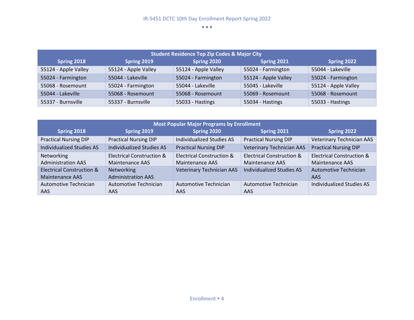| <b>Student Residence Top Zip Codes &amp; Major City</b> |                      |                      |                      |                      |  |  |  |  |  |  |  |
|---------------------------------------------------------|----------------------|----------------------|----------------------|----------------------|--|--|--|--|--|--|--|
| Spring 2018                                             | Spring 2019          | Spring 2020          | Spring 2021          | Spring 2022          |  |  |  |  |  |  |  |
| 55124 - Apple Valley                                    | 55124 - Apple Valley | 55124 - Apple Valley | 55024 - Farmington   | 55044 - Lakeville    |  |  |  |  |  |  |  |
| 55024 - Farmington                                      | 55044 - Lakeville    | 55024 - Farmington   | 55124 - Apple Valley | 55024 - Farmington   |  |  |  |  |  |  |  |
| 55068 - Rosemount                                       | 55024 - Farmington   | 55044 - Lakeville    | 55045 - Lakeville    | 55124 - Apple Valley |  |  |  |  |  |  |  |
| 55044 - Lakeville                                       | 55068 - Rosemount    | 55068 - Rosemount    | 55069 - Rosemount    | 55068 - Rosemount    |  |  |  |  |  |  |  |
| 55337 - Burnsville                                      | 55337 - Burnsville   | 55033 - Hastings     | 55034 - Hastings     | 55033 - Hastings     |  |  |  |  |  |  |  |

| <b>Most Popular Major Programs by Enrollment</b> |                                      |                                  |                                      |                                      |  |  |  |  |  |  |  |
|--------------------------------------------------|--------------------------------------|----------------------------------|--------------------------------------|--------------------------------------|--|--|--|--|--|--|--|
| Spring 2018                                      | Spring 2019                          | Spring 2020                      | Spring 2021                          | <b>Spring 2022</b>                   |  |  |  |  |  |  |  |
| <b>Practical Nursing DIP</b>                     | <b>Practical Nursing DIP</b>         | <b>Individualized Studies AS</b> | <b>Practical Nursing DIP</b>         | <b>Veterinary Technician AAS</b>     |  |  |  |  |  |  |  |
| <b>Individualized Studies AS</b>                 | <b>Individualized Studies AS</b>     | <b>Practical Nursing DIP</b>     | <b>Veterinary Technician AAS</b>     | <b>Practical Nursing DIP</b>         |  |  |  |  |  |  |  |
| <b>Networking</b>                                | <b>Electrical Construction &amp;</b> | Electrical Construction &        | <b>Electrical Construction &amp;</b> | <b>Electrical Construction &amp;</b> |  |  |  |  |  |  |  |
| <b>Administration AAS</b>                        | Maintenance AAS                      | Maintenance AAS                  | Maintenance AAS                      | Maintenance AAS                      |  |  |  |  |  |  |  |
| <b>Electrical Construction &amp;</b>             | <b>Networking</b>                    | <b>Veterinary Technician AAS</b> | <b>Individualized Studies AS</b>     | Automotive Technician                |  |  |  |  |  |  |  |
| Maintenance AAS                                  | <b>Administration AAS</b>            |                                  |                                      | AAS                                  |  |  |  |  |  |  |  |
| Automotive Technician                            | Automotive Technician                | Automotive Technician            | Automotive Technician                | Individualized Studies AS            |  |  |  |  |  |  |  |
| AAS                                              | AAS.                                 | AAS.                             | <b>AAS</b>                           |                                      |  |  |  |  |  |  |  |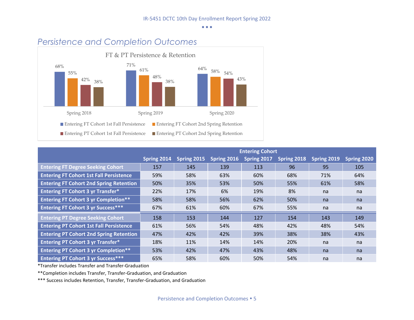

|                                                | <b>Entering Cohort</b> |             |             |             |             |             |             |  |  |  |  |
|------------------------------------------------|------------------------|-------------|-------------|-------------|-------------|-------------|-------------|--|--|--|--|
|                                                | Spring 2014            | Spring 2015 | Spring 2016 | Spring 2017 | Spring 2018 | Spring 2019 | Spring 2020 |  |  |  |  |
| <b>Entering FT Degree Seeking Cohort</b>       | 157                    | 145         | 139         | 113         | 96          | 95          | 105         |  |  |  |  |
| <b>Entering FT Cohort 1st Fall Persistence</b> | 59%                    | 58%         | 63%         | 60%         | 68%         | 71%         | 64%         |  |  |  |  |
| <b>Entering FT Cohort 2nd Spring Retention</b> | 50%                    | 35%         | 53%         | 50%         | 55%         | 61%         | 58%         |  |  |  |  |
| <b>Entering FT Cohort 3 yr Transfer*</b>       | 22%                    | 17%         | 6%          | 19%         | 8%          | na          | na          |  |  |  |  |
| <b>Entering FT Cohort 3 yr Completion**</b>    | 58%                    | 58%         | 56%         | 62%         | 50%         | na          | na          |  |  |  |  |
| <b>Entering FT Cohort 3 yr Success***</b>      | 67%                    | 61%         | 60%         | 67%         | 55%         | na          | na          |  |  |  |  |
| <b>Entering PT Degree Seeking Cohort</b>       | 158                    | 153         | 144         | 127         | 154         | 143         | 149         |  |  |  |  |
| <b>Entering PT Cohort 1st Fall Persistence</b> | 61%                    | 56%         | 54%         | 48%         | 42%         | 48%         | 54%         |  |  |  |  |
| <b>Entering PT Cohort 2nd Spring Retention</b> | 47%                    | 42%         | 42%         | 39%         | 38%         | 38%         | 43%         |  |  |  |  |
| <b>Entering PT Cohort 3 yr Transfer*</b>       | 18%                    | 11%         | 14%         | 14%         | 20%         | na          | na          |  |  |  |  |
| <b>Entering PT Cohort 3 yr Completion**</b>    | 53%                    | 42%         | 47%         | 43%         | 48%         | na          | na          |  |  |  |  |
| <b>Entering PT Cohort 3 yr Success***</b>      | 65%                    | 58%         | 60%         | 50%         | 54%         | na          | na          |  |  |  |  |

\*Transfer includes Transfer and Transfer-Graduation

\*\*Completion includes Transfer, Transfer-Graduation, and Graduation

\*\*\* Success includes Retention, Transfer, Transfer-Graduation, and Graduation